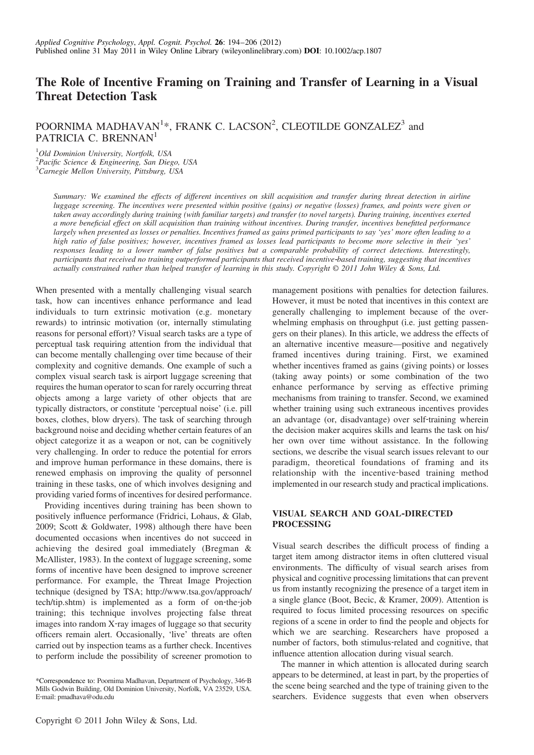# The Role of Incentive Framing on Training and Transfer of Learning in a Visual Threat Detection Task

POORNIMA MADHAVAN<sup>1\*</sup>, FRANK C. LACSON<sup>2</sup>, CLEOTILDE GONZALEZ<sup>3</sup> and PATRICIA C. BRENNAN<sup>1</sup>

<sup>1</sup>Old Dominion University, Nortfolk, USA <sup>2</sup> Pacific Science & Engineering, San Diego, USA<br><sup>3</sup> Carnegie Mellon University, Pittsburg, USA  $3$ Carnegie Mellon University, Pittsburg, USA

> Summary: We examined the effects of different incentives on skill acquisition and transfer during threat detection in airline luggage screening. The incentives were presented within positive (gains) or negative (losses) frames, and points were given or taken away accordingly during training (with familiar targets) and transfer (to novel targets). During training, incentives exerted a more beneficial effect on skill acquisition than training without incentives. During transfer, incentives benefitted performance largely when presented as losses or penalties. Incentives framed as gains primed participants to say 'yes' more often leading to a high ratio of false positives; however, incentives framed as losses lead participants to become more selective in their 'yes' responses leading to a lower number of false positives but a comparable probability of correct detections. Interestingly, participants that received no training outperformed participants that received incentive-based training, suggesting that incentives actually constrained rather than helped transfer of learning in this study. Copyright © 2011 John Wiley & Sons, Ltd.

When presented with a mentally challenging visual search task, how can incentives enhance performance and lead individuals to turn extrinsic motivation (e.g. monetary rewards) to intrinsic motivation (or, internally stimulating reasons for personal effort)? Visual search tasks are a type of perceptual task requiring attention from the individual that can become mentally challenging over time because of their complexity and cognitive demands. One example of such a complex visual search task is airport luggage screening that requires the human operator to scan for rarely occurring threat objects among a large variety of other objects that are typically distractors, or constitute 'perceptual noise' (i.e. pill boxes, clothes, blow dryers). The task of searching through background noise and deciding whether certain features of an object categorize it as a weapon or not, can be cognitively very challenging. In order to reduce the potential for errors and improve human performance in these domains, there is renewed emphasis on improving the quality of personnel training in these tasks, one of which involves designing and providing varied forms of incentives for desired performance.

Providing incentives during training has been shown to positively influence performance (Fridrici, Lohaus, & Glab, 2009; Scott & Goldwater, 1998) although there have been documented occasions when incentives do not succeed in achieving the desired goal immediately (Bregman & McAllister, 1983). In the context of luggage screening, some forms of incentive have been designed to improve screener performance. For example, the Threat Image Projection technique (designed by TSA; http://www.tsa.gov/approach/ tech/tip.shtm) is implemented as a form of on-the-job training; this technique involves projecting false threat images into random X‐ray images of luggage so that security officers remain alert. Occasionally, 'live' threats are often carried out by inspection teams as a further check. Incentives to perform include the possibility of screener promotion to management positions with penalties for detection failures. However, it must be noted that incentives in this context are generally challenging to implement because of the overwhelming emphasis on throughput (i.e. just getting passengers on their planes). In this article, we address the effects of an alternative incentive measure—positive and negatively framed incentives during training. First, we examined whether incentives framed as gains (giving points) or losses (taking away points) or some combination of the two enhance performance by serving as effective priming mechanisms from training to transfer. Second, we examined whether training using such extraneous incentives provides an advantage (or, disadvantage) over self‐training wherein the decision maker acquires skills and learns the task on his/ her own over time without assistance. In the following sections, we describe the visual search issues relevant to our paradigm, theoretical foundations of framing and its relationship with the incentive‐based training method implemented in our research study and practical implications.

## VISUAL SEARCH AND GOAL‐DIRECTED PROCESSING

Visual search describes the difficult process of finding a target item among distractor items in often cluttered visual environments. The difficulty of visual search arises from physical and cognitive processing limitations that can prevent us from instantly recognizing the presence of a target item in a single glance (Boot, Becic, & Kramer, 2009). Attention is required to focus limited processing resources on specific regions of a scene in order to find the people and objects for which we are searching. Researchers have proposed a number of factors, both stimulus‐related and cognitive, that influence attention allocation during visual search.

The manner in which attention is allocated during search appears to be determined, at least in part, by the properties of the scene being searched and the type of training given to the searchers. Evidence suggests that even when observers

<sup>\*</sup>Correspondence to: Poornima Madhavan, Department of Psychology, 346‐B Mills Godwin Building, Old Dominion University, Norfolk, VA 23529, USA. E‐mail: pmadhava@odu.edu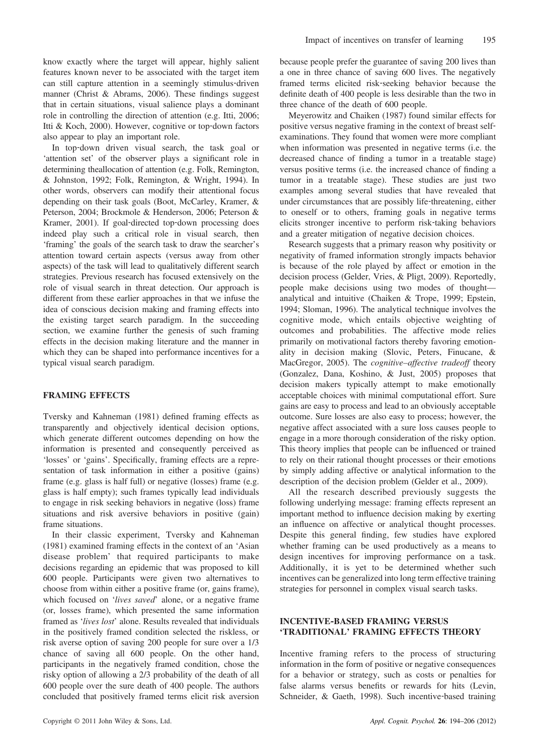know exactly where the target will appear, highly salient features known never to be associated with the target item can still capture attention in a seemingly stimulus‐driven manner (Christ & Abrams, 2006). These findings suggest that in certain situations, visual salience plays a dominant role in controlling the direction of attention (e.g. Itti, 2006; Itti & Koch, 2000). However, cognitive or top-down factors also appear to play an important role.

In top-down driven visual search, the task goal or 'attention set' of the observer plays a significant role in determining theallocation of attention (e.g. Folk, Remington, & Johnston, 1992; Folk, Remington, & Wright, 1994). In other words, observers can modify their attentional focus depending on their task goals (Boot, McCarley, Kramer, & Peterson, 2004; Brockmole & Henderson, 2006; Peterson & Kramer, 2001). If goal-directed top-down processing does indeed play such a critical role in visual search, then 'framing' the goals of the search task to draw the searcher's attention toward certain aspects (versus away from other aspects) of the task will lead to qualitatively different search strategies. Previous research has focused extensively on the role of visual search in threat detection. Our approach is different from these earlier approaches in that we infuse the idea of conscious decision making and framing effects into the existing target search paradigm. In the succeeding section, we examine further the genesis of such framing effects in the decision making literature and the manner in which they can be shaped into performance incentives for a typical visual search paradigm.

## FRAMING EFFECTS

Tversky and Kahneman (1981) defined framing effects as transparently and objectively identical decision options, which generate different outcomes depending on how the information is presented and consequently perceived as 'losses' or 'gains'. Specifically, framing effects are a representation of task information in either a positive (gains) frame (e.g. glass is half full) or negative (losses) frame (e.g. glass is half empty); such frames typically lead individuals to engage in risk seeking behaviors in negative (loss) frame situations and risk aversive behaviors in positive (gain) frame situations.

In their classic experiment, Tversky and Kahneman (1981) examined framing effects in the context of an 'Asian disease problem' that required participants to make decisions regarding an epidemic that was proposed to kill 600 people. Participants were given two alternatives to choose from within either a positive frame (or, gains frame), which focused on 'lives saved' alone, or a negative frame (or, losses frame), which presented the same information framed as 'lives lost' alone. Results revealed that individuals in the positively framed condition selected the riskless, or risk averse option of saving 200 people for sure over a 1/3 chance of saving all 600 people. On the other hand, participants in the negatively framed condition, chose the risky option of allowing a 2/3 probability of the death of all 600 people over the sure death of 400 people. The authors concluded that positively framed terms elicit risk aversion

because people prefer the guarantee of saving 200 lives than a one in three chance of saving 600 lives. The negatively framed terms elicited risk‐seeking behavior because the definite death of 400 people is less desirable than the two in three chance of the death of 600 people.

Meyerowitz and Chaiken (1987) found similar effects for positive versus negative framing in the context of breast self‐ examinations. They found that women were more compliant when information was presented in negative terms (i.e. the decreased chance of finding a tumor in a treatable stage) versus positive terms (i.e. the increased chance of finding a tumor in a treatable stage). These studies are just two examples among several studies that have revealed that under circumstances that are possibly life‐threatening, either to oneself or to others, framing goals in negative terms elicits stronger incentive to perform risk‐taking behaviors and a greater mitigation of negative decision choices.

Research suggests that a primary reason why positivity or negativity of framed information strongly impacts behavior is because of the role played by affect or emotion in the decision process (Gelder, Vries, & Pligt, 2009). Reportedly, people make decisions using two modes of thought analytical and intuitive (Chaiken & Trope, 1999; Epstein, 1994; Sloman, 1996). The analytical technique involves the cognitive mode, which entails objective weighting of outcomes and probabilities. The affective mode relies primarily on motivational factors thereby favoring emotionality in decision making (Slovic, Peters, Finucane, & MacGregor, 2005). The *cognitive–affective tradeoff* theory (Gonzalez, Dana, Koshino, & Just, 2005) proposes that decision makers typically attempt to make emotionally acceptable choices with minimal computational effort. Sure gains are easy to process and lead to an obviously acceptable outcome. Sure losses are also easy to process; however, the negative affect associated with a sure loss causes people to engage in a more thorough consideration of the risky option. This theory implies that people can be influenced or trained to rely on their rational thought processes or their emotions by simply adding affective or analytical information to the description of the decision problem (Gelder et al., 2009).

All the research described previously suggests the following underlying message: framing effects represent an important method to influence decision making by exerting an influence on affective or analytical thought processes. Despite this general finding, few studies have explored whether framing can be used productively as a means to design incentives for improving performance on a task. Additionally, it is yet to be determined whether such incentives can be generalized into long term effective training strategies for personnel in complex visual search tasks.

## INCENTIVE‐BASED FRAMING VERSUS 'TRADITIONAL' FRAMING EFFECTS THEORY

Incentive framing refers to the process of structuring information in the form of positive or negative consequences for a behavior or strategy, such as costs or penalties for false alarms versus benefits or rewards for hits (Levin, Schneider, & Gaeth, 1998). Such incentive-based training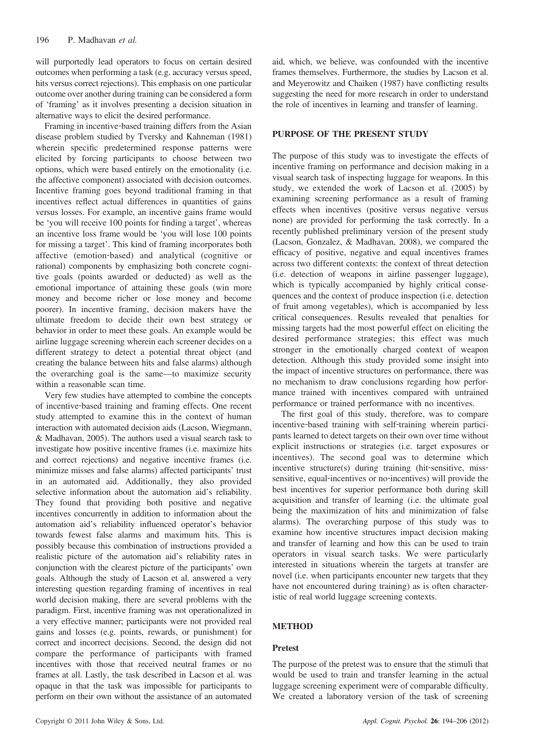will purportedly lead operators to focus on certain desired outcomes when performing a task (e.g. accuracy versus speed, hits versus correct rejections). This emphasis on one particular outcome over another during training can be considered a form of 'framing' as it involves presenting a decision situation in alternative ways to elicit the desired performance.

Framing in incentive-based training differs from the Asian disease problem studied by Tversky and Kahneman (1981) wherein specific predetermined response patterns were elicited by forcing participants to choose between two options, which were based entirely on the emotionality (i.e. the affective component) associated with decision outcomes. Incentive framing goes beyond traditional framing in that incentives reflect actual differences in quantities of gains versus losses. For example, an incentive gains frame would be 'you will receive 100 points for finding a target', whereas an incentive loss frame would be 'you will lose 100 points for missing a target'. This kind of framing incorporates both affective (emotion‐based) and analytical (cognitive or rational) components by emphasizing both concrete cognitive goals (points awarded or deducted) as well as the emotional importance of attaining these goals (win more money and become richer or lose money and become poorer). In incentive framing, decision makers have the ultimate freedom to decide their own best strategy or behavior in order to meet these goals. An example would be airline luggage screening wherein each screener decides on a different strategy to detect a potential threat object (and creating the balance between hits and false alarms) although the overarching goal is the same—to maximize security within a reasonable scan time.

Very few studies have attempted to combine the concepts of incentive‐based training and framing effects. One recent study attempted to examine this in the context of human interaction with automated decision aids (Lacson, Wiegmann, & Madhavan, 2005). The authors used a visual search task to investigate how positive incentive frames (i.e. maximize hits and correct rejections) and negative incentive frames (i.e. minimize misses and false alarms) affected participants' trust in an automated aid. Additionally, they also provided selective information about the automation aid's reliability. They found that providing both positive and negative incentives concurrently in addition to information about the automation aid's reliability influenced operator's behavior towards fewest false alarms and maximum hits. This is possibly because this combination of instructions provided a realistic picture of the automation aid's reliability rates in conjunction with the clearest picture of the participants' own goals. Although the study of Lacson et al. answered a very interesting question regarding framing of incentives in real world decision making, there are several problems with the paradigm. First, incentive framing was not operationalized in a very effective manner; participants were not provided real gains and losses (e.g. points, rewards, or punishment) for correct and incorrect decisions. Second, the design did not compare the performance of participants with framed incentives with those that received neutral frames or no frames at all. Lastly, the task described in Lacson et al. was opaque in that the task was impossible for participants to perform on their own without the assistance of an automated aid, which, we believe, was confounded with the incentive frames themselves. Furthermore, the studies by Lacson et al. and Meyerowitz and Chaiken (1987) have conflicting results suggesting the need for more research in order to understand the role of incentives in learning and transfer of learning.

# PURPOSE OF THE PRESENT STUDY

The purpose of this study was to investigate the effects of incentive framing on performance and decision making in a visual search task of inspecting luggage for weapons. In this study, we extended the work of Lacson et al. (2005) by examining screening performance as a result of framing effects when incentives (positive versus negative versus none) are provided for performing the task correctly. In a recently published preliminary version of the present study (Lacson, Gonzalez, & Madhavan, 2008), we compared the efficacy of positive, negative and equal incentives frames across two different contexts: the context of threat detection (i.e. detection of weapons in airline passenger luggage), which is typically accompanied by highly critical consequences and the context of produce inspection (i.e. detection of fruit among vegetables), which is accompanied by less critical consequences. Results revealed that penalties for missing targets had the most powerful effect on eliciting the desired performance strategies; this effect was much stronger in the emotionally charged context of weapon detection. Although this study provided some insight into the impact of incentive structures on performance, there was no mechanism to draw conclusions regarding how performance trained with incentives compared with untrained performance or trained performance with no incentives.

The first goal of this study, therefore, was to compare incentive-based training with self-training wherein participants learned to detect targets on their own over time without explicit instructions or strategies (i.e. target exposures or incentives). The second goal was to determine which incentive structure(s) during training (hit-sensitive, misssensitive, equal-incentives or no-incentives) will provide the best incentives for superior performance both during skill acquisition and transfer of learning (i.e. the ultimate goal being the maximization of hits and minimization of false alarms). The overarching purpose of this study was to examine how incentive structures impact decision making and transfer of learning and how this can be used to train operators in visual search tasks. We were particularly interested in situations wherein the targets at transfer are novel (i.e. when participants encounter new targets that they have not encountered during training) as is often characteristic of real world luggage screening contexts.

# **METHOD**

# **Protest**

The purpose of the pretest was to ensure that the stimuli that would be used to train and transfer learning in the actual luggage screening experiment were of comparable difficulty. We created a laboratory version of the task of screening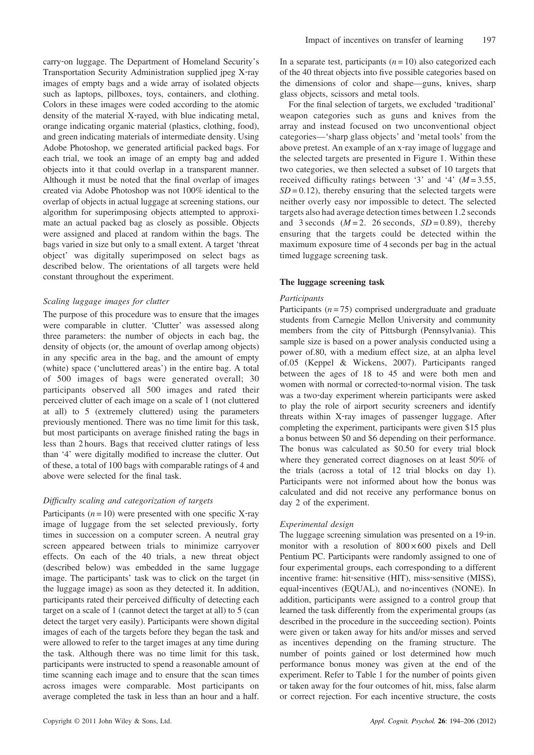carry‐on luggage. The Department of Homeland Security's Transportation Security Administration supplied jpeg X‐ray images of empty bags and a wide array of isolated objects such as laptops, pillboxes, toys, containers, and clothing. Colors in these images were coded according to the atomic density of the material X‐rayed, with blue indicating metal, orange indicating organic material (plastics, clothing, food), and green indicating materials of intermediate density. Using Adobe Photoshop, we generated artificial packed bags. For each trial, we took an image of an empty bag and added objects into it that could overlap in a transparent manner. Although it must be noted that the final overlap of images created via Adobe Photoshop was not 100% identical to the overlap of objects in actual luggage at screening stations, our algorithm for superimposing objects attempted to approximate an actual packed bag as closely as possible. Objects were assigned and placed at random within the bags. The bags varied in size but only to a small extent. A target 'threat object' was digitally superimposed on select bags as described below. The orientations of all targets were held constant throughout the experiment.

## Scaling luggage images for clutter

The purpose of this procedure was to ensure that the images were comparable in clutter. 'Clutter' was assessed along three parameters: the number of objects in each bag, the density of objects (or, the amount of overlap among objects) in any specific area in the bag, and the amount of empty (white) space ('uncluttered areas') in the entire bag. A total of 500 images of bags were generated overall; 30 participants observed all 500 images and rated their perceived clutter of each image on a scale of 1 (not cluttered at all) to 5 (extremely cluttered) using the parameters previously mentioned. There was no time limit for this task, but most participants on average finished rating the bags in less than 2 hours. Bags that received clutter ratings of less than '4' were digitally modified to increase the clutter. Out of these, a total of 100 bags with comparable ratings of 4 and above were selected for the final task.

## Difficulty scaling and categorization of targets

Participants  $(n = 10)$  were presented with one specific X-ray image of luggage from the set selected previously, forty times in succession on a computer screen. A neutral gray screen appeared between trials to minimize carryover effects. On each of the 40 trials, a new threat object (described below) was embedded in the same luggage image. The participants' task was to click on the target (in the luggage image) as soon as they detected it. In addition, participants rated their perceived difficulty of detecting each target on a scale of 1 (cannot detect the target at all) to 5 (can detect the target very easily). Participants were shown digital images of each of the targets before they began the task and were allowed to refer to the target images at any time during the task. Although there was no time limit for this task, participants were instructed to spend a reasonable amount of time scanning each image and to ensure that the scan times across images were comparable. Most participants on average completed the task in less than an hour and a half.

In a separate test, participants  $(n = 10)$  also categorized each of the 40 threat objects into five possible categories based on the dimensions of color and shape—guns, knives, sharp glass objects, scissors and metal tools.

For the final selection of targets, we excluded 'traditional' weapon categories such as guns and knives from the array and instead focused on two unconventional object categories—'sharp glass objects' and 'metal tools' from the above pretest. An example of an x‐ray image of luggage and the selected targets are presented in Figure 1. Within these two categories, we then selected a subset of 10 targets that received difficulty ratings between '3' and '4'  $(M = 3.55,$  $SD = 0.12$ ), thereby ensuring that the selected targets were neither overly easy nor impossible to detect. The selected targets also had average detection times between 1.2 seconds and 3 seconds  $(M=2. 26$  seconds,  $SD = 0.89$ ), thereby ensuring that the targets could be detected within the maximum exposure time of 4 seconds per bag in the actual timed luggage screening task.

## The luggage screening task

## Participants

Participants  $(n = 75)$  comprised undergraduate and graduate students from Carnegie Mellon University and community members from the city of Pittsburgh (Pennsylvania). This sample size is based on a power analysis conducted using a power of.80, with a medium effect size, at an alpha level of.05 (Keppel & Wickens, 2007). Participants ranged between the ages of 18 to 45 and were both men and women with normal or corrected-to-normal vision. The task was a two-day experiment wherein participants were asked to play the role of airport security screeners and identify threats within X‐ray images of passenger luggage. After completing the experiment, participants were given \$15 plus a bonus between \$0 and \$6 depending on their performance. The bonus was calculated as \$0.50 for every trial block where they generated correct diagnoses on at least 50% of the trials (across a total of 12 trial blocks on day 1). Participants were not informed about how the bonus was calculated and did not receive any performance bonus on day 2 of the experiment.

# Experimental design

The luggage screening simulation was presented on a 19-in. monitor with a resolution of  $800 \times 600$  pixels and Dell Pentium PC. Participants were randomly assigned to one of four experimental groups, each corresponding to a different incentive frame: hit-sensitive (HIT), miss-sensitive (MISS), equal‐incentives (EQUAL), and no‐incentives (NONE). In addition, participants were assigned to a control group that learned the task differently from the experimental groups (as described in the procedure in the succeeding section). Points were given or taken away for hits and/or misses and served as incentives depending on the framing structure. The number of points gained or lost determined how much performance bonus money was given at the end of the experiment. Refer to Table 1 for the number of points given or taken away for the four outcomes of hit, miss, false alarm or correct rejection. For each incentive structure, the costs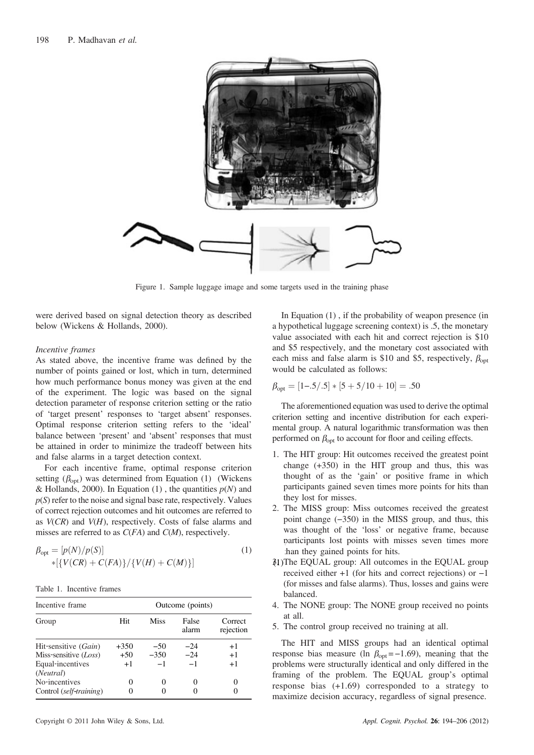

Figure 1. Sample luggage image and some targets used in the training phase

were derived based on signal detection theory as described below (Wickens & Hollands, 2000).

#### Incentive frames

As stated above, the incentive frame was defined by the number of points gained or lost, which in turn, determined how much performance bonus money was given at the end of the experiment. The logic was based on the signal detection parameter of response criterion setting or the ratio of 'target present' responses to 'target absent' responses. Optimal response criterion setting refers to the 'ideal' balance between 'present' and 'absent' responses that must be attained in order to minimize the tradeoff between hits and false alarms in a target detection context.

For each incentive frame, optimal response criterion setting  $(\beta_{\text{opt}})$  was determined from Equation (1) (Wickens & Hollands, 2000). In Equation (1), the quantities  $p(N)$  and  $p(S)$  refer to the noise and signal base rate, respectively. Values of correct rejection outcomes and hit outcomes are referred to as  $V(CR)$  and  $V(H)$ , respectively. Costs of false alarms and misses are referred to as  $C(FA)$  and  $C(M)$ , respectively.

$$
\beta_{\text{opt}} = [p(N)/p(S)]
$$
  
 
$$
*[\{V(CR) + C(FA)\}/\{V(H) + C(M)\}]
$$
 (1)

Table 1. Incentive frames

| Incentive frame               | Outcome (points) |             |                |                      |
|-------------------------------|------------------|-------------|----------------|----------------------|
| Group                         | <b>Hit</b>       | <b>Miss</b> | False<br>alarm | Correct<br>rejection |
| Hit-sensitive (Gain)          | $+350$           | $-50$       | $-24$          | $+1$                 |
| Miss-sensitive (Loss)         | $+50$            | $-350$      | $-24$          | $+1$                 |
| Equal-incentives<br>(Neutral) | $+1$             | $-1$        | $-1$           | $+1$                 |
| No-incentives                 | 0                |             |                |                      |
| Control (self-training)       | 0                |             |                |                      |

In Equation (1) , if the probability of weapon presence (in a hypothetical luggage screening context) is .5, the monetary value associated with each hit and correct rejection is \$10 and \$5 respectively, and the monetary cost associated with each miss and false alarm is \$10 and \$5, respectively,  $\beta_{\rm opt}$ would be calculated as follows:

$$
\beta_{\text{opt}} = [1-.5/.5] * [5 + 5/10 + 10] = .50
$$

The aforementioned equation was used to derive the optimal criterion setting and incentive distribution for each experimental group. A natural logarithmic transformation was then performed on  $\beta_{\text{opt}}$  to account for floor and ceiling effects.

- 1. The HIT group: Hit outcomes received the greatest point change (+350) in the HIT group and thus, this was thought of as the 'gain' or positive frame in which participants gained seven times more points for hits than they lost for misses.
- 2. The MISS group: Miss outcomes received the greatest point change (−350) in the MISS group, and thus, this was thought of the 'loss' or negative frame, because participants lost points with misses seven times more than they gained points for hits.
- 3. The EQUAL group: All outcomes in the EQUAL group (1) received either +1 (for hits and correct rejections) or −1 (for misses and false alarms). Thus, losses and gains were balanced.
- 4. The NONE group: The NONE group received no points at all.
- 5. The control group received no training at all.

The HIT and MISS groups had an identical optimal response bias measure (ln  $\beta_{\text{opt}} = -1.69$ ), meaning that the problems were structurally identical and only differed in the framing of the problem. The EQUAL group's optimal response bias (+1.69) corresponded to a strategy to maximize decision accuracy, regardless of signal presence.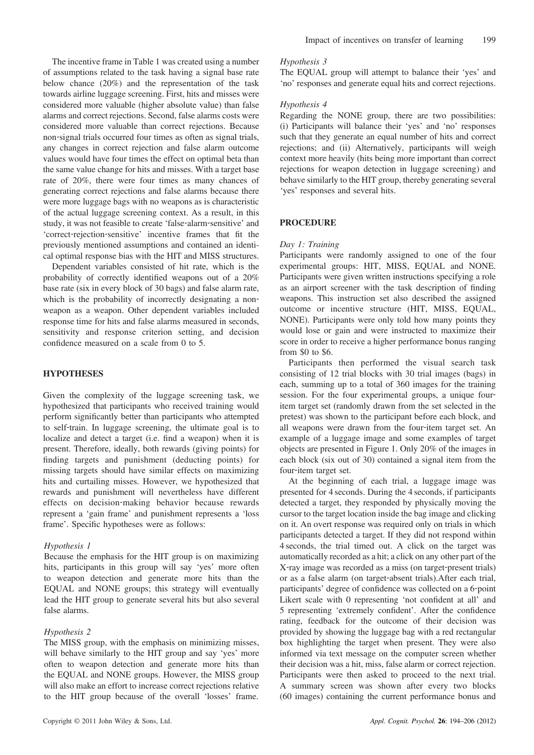The incentive frame in Table 1 was created using a number of assumptions related to the task having a signal base rate below chance (20%) and the representation of the task towards airline luggage screening. First, hits and misses were considered more valuable (higher absolute value) than false alarms and correct rejections. Second, false alarms costs were considered more valuable than correct rejections. Because non‐signal trials occurred four times as often as signal trials, any changes in correct rejection and false alarm outcome values would have four times the effect on optimal beta than the same value change for hits and misses. With a target base rate of 20%, there were four times as many chances of generating correct rejections and false alarms because there were more luggage bags with no weapons as is characteristic of the actual luggage screening context. As a result, in this study, it was not feasible to create 'false‐alarm‐sensitive' and 'correct‐rejection‐sensitive' incentive frames that fit the previously mentioned assumptions and contained an identical optimal response bias with the HIT and MISS structures.

Dependent variables consisted of hit rate, which is the probability of correctly identified weapons out of a 20% base rate (six in every block of 30 bags) and false alarm rate, which is the probability of incorrectly designating a nonweapon as a weapon. Other dependent variables included response time for hits and false alarms measured in seconds, sensitivity and response criterion setting, and decision confidence measured on a scale from 0 to 5.

## **HYPOTHESES**

Given the complexity of the luggage screening task, we hypothesized that participants who received training would perform significantly better than participants who attempted to self‐train. In luggage screening, the ultimate goal is to localize and detect a target (i.e. find a weapon) when it is present. Therefore, ideally, both rewards (giving points) for finding targets and punishment (deducting points) for missing targets should have similar effects on maximizing hits and curtailing misses. However, we hypothesized that rewards and punishment will nevertheless have different effects on decision‐making behavior because rewards represent a 'gain frame' and punishment represents a 'loss frame'. Specific hypotheses were as follows:

## Hypothesis 1

Because the emphasis for the HIT group is on maximizing hits, participants in this group will say 'yes' more often to weapon detection and generate more hits than the EQUAL and NONE groups; this strategy will eventually lead the HIT group to generate several hits but also several false alarms.

## Hypothesis 2

The MISS group, with the emphasis on minimizing misses, will behave similarly to the HIT group and say 'yes' more often to weapon detection and generate more hits than the EQUAL and NONE groups. However, the MISS group will also make an effort to increase correct rejections relative to the HIT group because of the overall 'losses' frame.

## Hypothesis 3

The EQUAL group will attempt to balance their 'yes' and 'no' responses and generate equal hits and correct rejections.

## Hypothesis 4

Regarding the NONE group, there are two possibilities: (i) Participants will balance their 'yes' and 'no' responses such that they generate an equal number of hits and correct rejections; and (ii) Alternatively, participants will weigh context more heavily (hits being more important than correct rejections for weapon detection in luggage screening) and behave similarly to the HIT group, thereby generating several 'yes' responses and several hits.

## PROCEDURE

#### Day 1: Training

Participants were randomly assigned to one of the four experimental groups: HIT, MISS, EQUAL and NONE. Participants were given written instructions specifying a role as an airport screener with the task description of finding weapons. This instruction set also described the assigned outcome or incentive structure (HIT, MISS, EQUAL, NONE). Participants were only told how many points they would lose or gain and were instructed to maximize their score in order to receive a higher performance bonus ranging from \$0 to \$6.

Participants then performed the visual search task consisting of 12 trial blocks with 30 trial images (bags) in each, summing up to a total of 360 images for the training session. For the four experimental groups, a unique fouritem target set (randomly drawn from the set selected in the pretest) was shown to the participant before each block, and all weapons were drawn from the four‐item target set. An example of a luggage image and some examples of target objects are presented in Figure 1. Only 20% of the images in each block (six out of 30) contained a signal item from the four‐item target set.

At the beginning of each trial, a luggage image was presented for 4 seconds. During the 4 seconds, if participants detected a target, they responded by physically moving the cursor to the target location inside the bag image and clicking on it. An overt response was required only on trials in which participants detected a target. If they did not respond within 4 seconds, the trial timed out. A click on the target was automatically recorded as a hit; a click on any other part of the X‐ray image was recorded as a miss (on target‐present trials) or as a false alarm (on target‐absent trials).After each trial, participants' degree of confidence was collected on a 6‐point Likert scale with 0 representing 'not confident at all' and 5 representing 'extremely confident'. After the confidence rating, feedback for the outcome of their decision was provided by showing the luggage bag with a red rectangular box highlighting the target when present. They were also informed via text message on the computer screen whether their decision was a hit, miss, false alarm or correct rejection. Participants were then asked to proceed to the next trial. A summary screen was shown after every two blocks (60 images) containing the current performance bonus and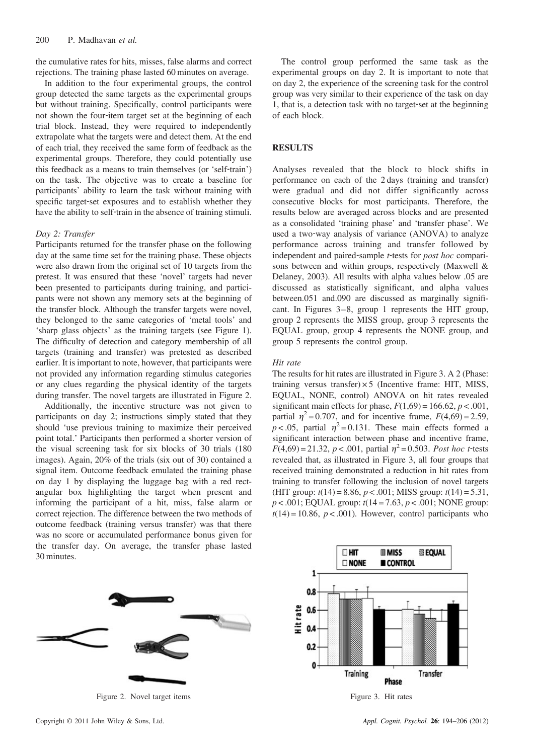the cumulative rates for hits, misses, false alarms and correct rejections. The training phase lasted 60 minutes on average.

In addition to the four experimental groups, the control group detected the same targets as the experimental groups but without training. Specifically, control participants were not shown the four‐item target set at the beginning of each trial block. Instead, they were required to independently extrapolate what the targets were and detect them. At the end of each trial, they received the same form of feedback as the experimental groups. Therefore, they could potentially use this feedback as a means to train themselves (or 'self‐train') on the task. The objective was to create a baseline for participants' ability to learn the task without training with specific target-set exposures and to establish whether they have the ability to self-train in the absence of training stimuli.

## Day 2: Transfer

Participants returned for the transfer phase on the following day at the same time set for the training phase. These objects were also drawn from the original set of 10 targets from the pretest. It was ensured that these 'novel' targets had never been presented to participants during training, and participants were not shown any memory sets at the beginning of the transfer block. Although the transfer targets were novel, they belonged to the same categories of 'metal tools' and 'sharp glass objects' as the training targets (see Figure 1). The difficulty of detection and category membership of all targets (training and transfer) was pretested as described earlier. It is important to note, however, that participants were not provided any information regarding stimulus categories or any clues regarding the physical identity of the targets during transfer. The novel targets are illustrated in Figure 2.

Additionally, the incentive structure was not given to participants on day 2; instructions simply stated that they should 'use previous training to maximize their perceived point total.' Participants then performed a shorter version of the visual screening task for six blocks of 30 trials (180 images). Again, 20% of the trials (six out of 30) contained a signal item. Outcome feedback emulated the training phase on day 1 by displaying the luggage bag with a red rectangular box highlighting the target when present and informing the participant of a hit, miss, false alarm or correct rejection. The difference between the two methods of outcome feedback (training versus transfer) was that there was no score or accumulated performance bonus given for the transfer day. On average, the transfer phase lasted 30 minutes.

The control group performed the same task as the experimental groups on day 2. It is important to note that on day 2, the experience of the screening task for the control group was very similar to their experience of the task on day 1, that is, a detection task with no target‐set at the beginning of each block.

## **RESULTS**

Analyses revealed that the block to block shifts in performance on each of the 2 days (training and transfer) were gradual and did not differ significantly across consecutive blocks for most participants. Therefore, the results below are averaged across blocks and are presented as a consolidated 'training phase' and 'transfer phase'. We used a two-way analysis of variance (ANOVA) to analyze performance across training and transfer followed by independent and paired-sample t-tests for post hoc comparisons between and within groups, respectively (Maxwell & Delaney, 2003). All results with alpha values below .05 are discussed as statistically significant, and alpha values between.051 and.090 are discussed as marginally significant. In Figures 3–8, group 1 represents the HIT group, group 2 represents the MISS group, group 3 represents the EQUAL group, group 4 represents the NONE group, and group 5 represents the control group.

#### Hit rate

The results for hit rates are illustrated in Figure 3. A 2 (Phase: training versus transfer) $\times$  5 (Incentive frame: HIT, MISS, EQUAL, NONE, control) ANOVA on hit rates revealed significant main effects for phase,  $F(1,69) = 166.62$ ,  $p < .001$ , partial  $\eta^2 = 0.707$ , and for incentive frame,  $F(4,69) = 2.59$ ,  $p < .05$ , partial  $\eta^2 = 0.131$ . These main effects formed a significant interaction between phase and incentive frame,  $F(4,69) = 21.32, p < .001$ , partial  $\eta^2 = 0.503$ . Post hoc t-tests revealed that, as illustrated in Figure 3, all four groups that received training demonstrated a reduction in hit rates from training to transfer following the inclusion of novel targets (HIT group:  $t(14) = 8.86$ ,  $p < .001$ ; MISS group:  $t(14) = 5.31$ ,  $p < .001$ ; EQUAL group:  $t(14 = 7.63, p < .001$ ; NONE group:  $t(14) = 10.86$ ,  $p < .001$ ). However, control participants who



Figure 2. Novel target items Figure 3. Hit rates



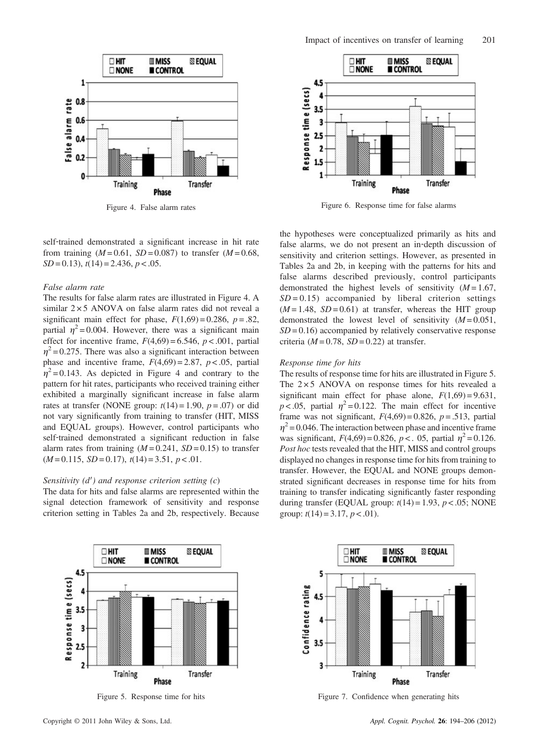

Figure 4. False alarm rates

self-trained demonstrated a significant increase in hit rate from training  $(M=0.61, SD=0.087)$  to transfer  $(M=0.68,$  $SD = 0.13$ ,  $t(14) = 2.436$ ,  $p < .05$ .

#### False alarm rate

The results for false alarm rates are illustrated in Figure 4. A similar  $2 \times 5$  ANOVA on false alarm rates did not reveal a significant main effect for phase,  $F(1,69) = 0.286$ ,  $p = .82$ , partial  $n^2 = 0.004$ . However, there was a significant main effect for incentive frame,  $F(4,69) = 6.546$ ,  $p < .001$ , partial  $\eta^2$  = 0.275. There was also a significant interaction between phase and incentive frame,  $F(4.69) = 2.87$ ,  $p < .05$ , partial  $\eta^2$  = 0.143. As depicted in Figure 4 and contrary to the pattern for hit rates, participants who received training either exhibited a marginally significant increase in false alarm rates at transfer (NONE group:  $t(14) = 1.90$ ,  $p = .07$ ) or did not vary significantly from training to transfer (HIT, MISS and EQUAL groups). However, control participants who self-trained demonstrated a significant reduction in false alarm rates from training  $(M = 0.241, SD = 0.15)$  to transfer  $(M=0.115, SD=0.17), t(14)=3.51, p<0.01$ .

#### Sensitivity  $(d')$  and response criterion setting  $(c)$

The data for hits and false alarms are represented within the signal detection framework of sensitivity and response criterion setting in Tables 2a and 2b, respectively. Because



Figure 6. Response time for false alarms

the hypotheses were conceptualized primarily as hits and false alarms, we do not present an in‐depth discussion of sensitivity and criterion settings. However, as presented in Tables 2a and 2b, in keeping with the patterns for hits and false alarms described previously, control participants demonstrated the highest levels of sensitivity  $(M = 1.67)$ ,  $SD = 0.15$ ) accompanied by liberal criterion settings  $(M = 1.48, SD = 0.61)$  at transfer, whereas the HIT group demonstrated the lowest level of sensitivity  $(M = 0.051$ ,  $SD = 0.16$ ) accompanied by relatively conservative response criteria ( $M = 0.78$ ,  $SD = 0.22$ ) at transfer.

#### Response time for hits

The results of response time for hits are illustrated in Figure 5. The  $2 \times 5$  ANOVA on response times for hits revealed a significant main effect for phase alone,  $F(1,69) = 9.631$ ,  $p < .05$ , partial  $\eta^2 = 0.122$ . The main effect for incentive frame was not significant,  $F(4,69) = 0.826$ ,  $p = .513$ , partial  $n^2$  = 0.046. The interaction between phase and incentive frame was significant,  $F(4,69) = 0.826$ ,  $p < 0.05$ , partial  $\eta^2 = 0.126$ . Post hoc tests revealed that the HIT, MISS and control groups displayed no changes in response time for hits from training to transfer. However, the EQUAL and NONE groups demonstrated significant decreases in response time for hits from training to transfer indicating significantly faster responding during transfer (EQUAL group:  $t(14) = 1.93$ ,  $p < .05$ ; NONE group:  $t(14) = 3.17$ ,  $p < .01$ ).



Figure 5. Response time for hits



Figure 7. Confidence when generating hits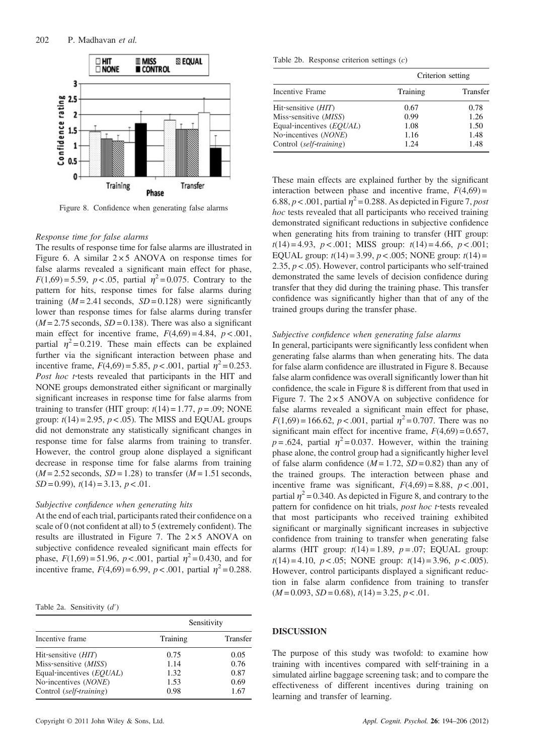

Figure 8. Confidence when generating false alarms

## Response time for false alarms

The results of response time for false alarms are illustrated in Figure 6. A similar  $2 \times 5$  ANOVA on response times for false alarms revealed a significant main effect for phase,  $F(1,69) = 5.59$ ,  $p < .05$ , partial  $\eta^2 = 0.075$ . Contrary to the pattern for hits, response times for false alarms during training  $(M=2.41$  seconds,  $SD = 0.128$ ) were significantly lower than response times for false alarms during transfer  $(M=2.75$  seconds,  $SD = 0.138$ ). There was also a significant main effect for incentive frame,  $F(4,69) = 4.84$ ,  $p < .001$ , partial  $\eta^2$  = 0.219. These main effects can be explained further via the significant interaction between phase and incentive frame,  $F(4,69) = 5.85$ ,  $p < .001$ , partial  $\eta^2 = 0.253$ . Post hoc t-tests revealed that participants in the HIT and NONE groups demonstrated either significant or marginally significant increases in response time for false alarms from training to transfer (HIT group:  $t(14) = 1.77$ ,  $p = .09$ ; NONE group:  $t(14) = 2.95$ ,  $p < .05$ ). The MISS and EQUAL groups did not demonstrate any statistically significant changes in response time for false alarms from training to transfer. However, the control group alone displayed a significant decrease in response time for false alarms from training  $(M=2.52$  seconds,  $SD = 1.28$ ) to transfer  $(M=1.51$  seconds,  $SD = 0.99$ ,  $t(14) = 3.13$ ,  $p < .01$ .

#### Subjective confidence when generating hits

At the end of each trial, participants rated their confidence on a scale of 0 (not confident at all) to 5 (extremely confident). The results are illustrated in Figure 7. The  $2 \times 5$  ANOVA on subjective confidence revealed significant main effects for phase,  $F(1,69) = 51.96$ ,  $p < .001$ , partial  $\eta^2 = 0.430$ , and for incentive frame,  $F(4,69) = 6.99$ ,  $p < .001$ , partial  $\eta^2 = 0.288$ .

Table 2a. Sensitivity  $(d')$ 

|                                | Sensitivity |          |  |
|--------------------------------|-------------|----------|--|
| Incentive frame                | Training    | Transfer |  |
| Hit-sensitive ( <i>HIT</i> )   | 0.75        | 0.05     |  |
| Miss-sensitive ( <i>MISS</i> ) | 1.14        | 0.76     |  |
| Equal-incentives (EQUAL)       | 1.32        | 0.87     |  |
| No-incentives (NONE)           | 1.53        | 0.69     |  |
| Control (self-training)        | 0.98        | 1.67     |  |

Table 2b. Response criterion settings (c)

|                                | Criterion setting |          |  |
|--------------------------------|-------------------|----------|--|
| Incentive Frame                | Training          | Transfer |  |
| Hit-sensitive ( <i>HIT</i> )   | 0.67              | 0.78     |  |
| Miss-sensitive ( <i>MISS</i> ) | 0.99              | 1.26     |  |
| Equal-incentives (EQUAL)       | 1.08              | 1.50     |  |
| No-incentives (NONE)           | 1.16              | 1.48     |  |
| Control (self-training)        | 1.24              | 1.48     |  |

These main effects are explained further by the significant interaction between phase and incentive frame,  $F(4,69) =$ 6.88,  $p < .001$ , partial  $\eta^2 = 0.288$ . As depicted in Figure 7, post hoc tests revealed that all participants who received training demonstrated significant reductions in subjective confidence when generating hits from training to transfer (HIT group:  $t(14) = 4.93$ ,  $p < .001$ ; MISS group:  $t(14) = 4.66$ ,  $p < .001$ ; EQUAL group:  $t(14) = 3.99$ ,  $p < .005$ ; NONE group:  $t(14) =$ 2.35,  $p < .05$ ). However, control participants who self-trained demonstrated the same levels of decision confidence during transfer that they did during the training phase. This transfer confidence was significantly higher than that of any of the trained groups during the transfer phase.

#### Subjective confidence when generating false alarms

In general, participants were significantly less confident when generating false alarms than when generating hits. The data for false alarm confidence are illustrated in Figure 8. Because false alarm confidence was overall significantly lower than hit confidence, the scale in Figure 8 is different from that used in Figure 7. The  $2 \times 5$  ANOVA on subjective confidence for false alarms revealed a significant main effect for phase,  $F(1,69) = 166.62$ ,  $p < .001$ , partial  $\eta^2 = 0.707$ . There was no significant main effect for incentive frame,  $F(4,69) = 0.657$ ,  $p = 0.624$ , partial  $\eta^2 = 0.037$ . However, within the training phase alone, the control group had a significantly higher level of false alarm confidence  $(M = 1.72, SD = 0.82)$  than any of the trained groups. The interaction between phase and incentive frame was significant,  $F(4,69) = 8.88$ ,  $p < .001$ , partial  $\eta^2$  = 0.340. As depicted in Figure 8, and contrary to the pattern for confidence on hit trials, post hoc t-tests revealed that most participants who received training exhibited significant or marginally significant increases in subjective confidence from training to transfer when generating false alarms (HIT group:  $t(14) = 1.89$ ,  $p = .07$ ; EQUAL group:  $t(14) = 4.10, p < .05$ ; NONE group:  $t(14) = 3.96, p < .005$ ). However, control participants displayed a significant reduction in false alarm confidence from training to transfer  $(M=0.093, SD=0.68), t(14)=3.25, p<0.01.$ 

## DISCUSSION

The purpose of this study was twofold: to examine how training with incentives compared with self‐training in a simulated airline baggage screening task; and to compare the effectiveness of different incentives during training on learning and transfer of learning.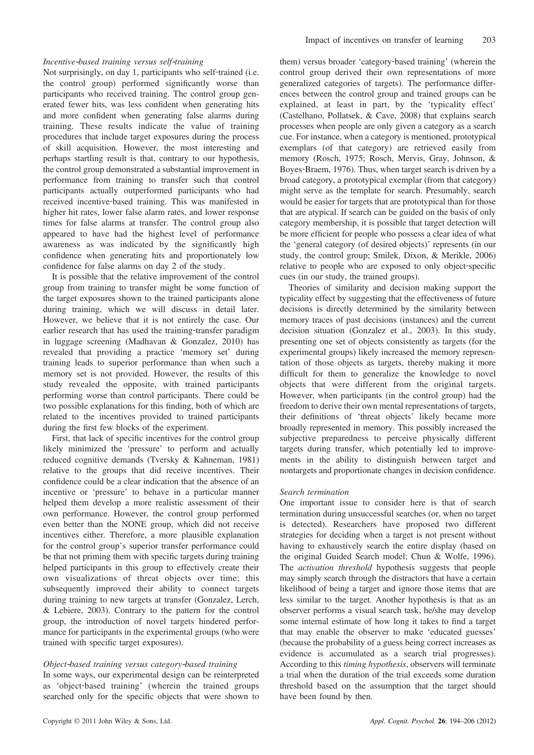#### Incentive‐based training versus self‐training

Not surprisingly, on day 1, participants who self-trained (i.e. the control group) performed significantly worse than participants who received training. The control group generated fewer hits, was less confident when generating hits and more confident when generating false alarms during training. These results indicate the value of training procedures that include target exposures during the process of skill acquisition. However, the most interesting and perhaps startling result is that, contrary to our hypothesis, the control group demonstrated a substantial improvement in performance from training to transfer such that control participants actually outperformed participants who had received incentive‐based training. This was manifested in higher hit rates, lower false alarm rates, and lower response times for false alarms at transfer. The control group also appeared to have had the highest level of performance awareness as was indicated by the significantly high confidence when generating hits and proportionately low confidence for false alarms on day 2 of the study.

It is possible that the relative improvement of the control group from training to transfer might be some function of the target exposures shown to the trained participants alone during training, which we will discuss in detail later. However, we believe that it is not entirely the case. Our earlier research that has used the training-transfer paradigm in luggage screening (Madhavan & Gonzalez, 2010) has revealed that providing a practice 'memory set' during training leads to superior performance than when such a memory set is not provided. However, the results of this study revealed the opposite, with trained participants performing worse than control participants. There could be two possible explanations for this finding, both of which are related to the incentives provided to trained participants during the first few blocks of the experiment.

First, that lack of specific incentives for the control group likely minimized the 'pressure' to perform and actually reduced cognitive demands (Tversky & Kahneman, 1981) relative to the groups that did receive incentives. Their confidence could be a clear indication that the absence of an incentive or 'pressure' to behave in a particular manner helped them develop a more realistic assessment of their own performance. However, the control group performed even better than the NONE group, which did not receive incentives either. Therefore, a more plausible explanation for the control group's superior transfer performance could be that not priming them with specific targets during training helped participants in this group to effectively create their own visualizations of threat objects over time; this subsequently improved their ability to connect targets during training to new targets at transfer (Gonzalez, Lerch, & Lebiere, 2003). Contrary to the pattern for the control group, the introduction of novel targets hindered performance for participants in the experimental groups (who were trained with specific target exposures).

## Object‐based training versus category‐based training

In some ways, our experimental design can be reinterpreted as 'object‐based training' (wherein the trained groups searched only for the specific objects that were shown to

them) versus broader 'category‐based training' (wherein the control group derived their own representations of more generalized categories of targets). The performance differences between the control group and trained groups can be explained, at least in part, by the 'typicality effect' (Castelhano, Pollatsek, & Cave, 2008) that explains search processes when people are only given a category as a search cue. For instance, when a category is mentioned, prototypical exemplars (of that category) are retrieved easily from memory (Rosch, 1975; Rosch, Mervis, Gray, Johnson, & Boyes‐Braem, 1976). Thus, when target search is driven by a broad category, a prototypical exemplar (from that category) might serve as the template for search. Presumably, search would be easier for targets that are prototypical than for those that are atypical. If search can be guided on the basis of only category membership, it is possible that target detection will be more efficient for people who possess a clear idea of what the 'general category (of desired objects)' represents (in our study, the control group; Smilek, Dixon, & Merikle, 2006) relative to people who are exposed to only object‐specific cues (in our study, the trained groups).

Theories of similarity and decision making support the typicality effect by suggesting that the effectiveness of future decisions is directly determined by the similarity between memory traces of past decisions (instances) and the current decision situation (Gonzalez et al., 2003). In this study, presenting one set of objects consistently as targets (for the experimental groups) likely increased the memory representation of those objects as targets, thereby making it more difficult for them to generalize the knowledge to novel objects that were different from the original targets. However, when participants (in the control group) had the freedom to derive their own mental representations of targets, their definitions of 'threat objects' likely became more broadly represented in memory. This possibly increased the subjective preparedness to perceive physically different targets during transfer, which potentially led to improvements in the ability to distinguish between target and nontargets and proportionate changes in decision confidence.

## Search termination

One important issue to consider here is that of search termination during unsuccessful searches (or, when no target is detected). Researchers have proposed two different strategies for deciding when a target is not present without having to exhaustively search the entire display (based on the original Guided Search model; Chun & Wolfe, 1996). The activation threshold hypothesis suggests that people may simply search through the distractors that have a certain likelihood of being a target and ignore those items that are less similar to the target. Another hypothesis is that as an observer performs a visual search task, he/she may develop some internal estimate of how long it takes to find a target that may enable the observer to make 'educated guesses' (because the probability of a guess being correct increases as evidence is accumulated as a search trial progresses). According to this timing hypothesis, observers will terminate a trial when the duration of the trial exceeds some duration threshold based on the assumption that the target should have been found by then.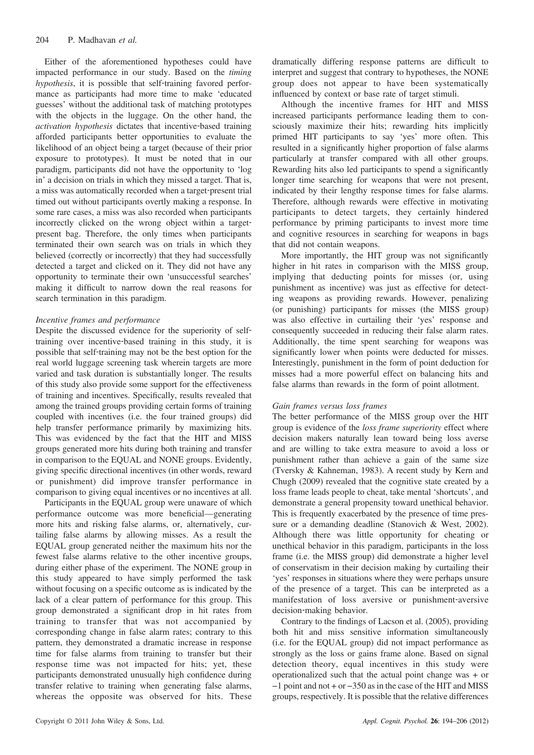Either of the aforementioned hypotheses could have impacted performance in our study. Based on the timing hypothesis, it is possible that self-training favored performance as participants had more time to make 'educated guesses' without the additional task of matching prototypes with the objects in the luggage. On the other hand, the activation hypothesis dictates that incentive‐based training afforded participants better opportunities to evaluate the likelihood of an object being a target (because of their prior exposure to prototypes). It must be noted that in our paradigm, participants did not have the opportunity to 'log in' a decision on trials in which they missed a target. That is, a miss was automatically recorded when a target‐present trial timed out without participants overtly making a response. In some rare cases, a miss was also recorded when participants incorrectly clicked on the wrong object within a targetpresent bag. Therefore, the only times when participants terminated their own search was on trials in which they believed (correctly or incorrectly) that they had successfully detected a target and clicked on it. They did not have any opportunity to terminate their own 'unsuccessful searches' making it difficult to narrow down the real reasons for search termination in this paradigm.

# Incentive frames and performance

Despite the discussed evidence for the superiority of selftraining over incentive‐based training in this study, it is possible that self‐training may not be the best option for the real world luggage screening task wherein targets are more varied and task duration is substantially longer. The results of this study also provide some support for the effectiveness of training and incentives. Specifically, results revealed that among the trained groups providing certain forms of training coupled with incentives (i.e. the four trained groups) did help transfer performance primarily by maximizing hits. This was evidenced by the fact that the HIT and MISS groups generated more hits during both training and transfer in comparison to the EQUAL and NONE groups. Evidently, giving specific directional incentives (in other words, reward or punishment) did improve transfer performance in comparison to giving equal incentives or no incentives at all.

Participants in the EQUAL group were unaware of which performance outcome was more beneficial—generating more hits and risking false alarms, or, alternatively, curtailing false alarms by allowing misses. As a result the EQUAL group generated neither the maximum hits nor the fewest false alarms relative to the other incentive groups, during either phase of the experiment. The NONE group in this study appeared to have simply performed the task without focusing on a specific outcome as is indicated by the lack of a clear pattern of performance for this group. This group demonstrated a significant drop in hit rates from training to transfer that was not accompanied by corresponding change in false alarm rates; contrary to this pattern, they demonstrated a dramatic increase in response time for false alarms from training to transfer but their response time was not impacted for hits; yet, these participants demonstrated unusually high confidence during transfer relative to training when generating false alarms, whereas the opposite was observed for hits. These dramatically differing response patterns are difficult to interpret and suggest that contrary to hypotheses, the NONE group does not appear to have been systematically influenced by context or base rate of target stimuli.

Although the incentive frames for HIT and MISS increased participants performance leading them to consciously maximize their hits; rewarding hits implicitly primed HIT participants to say 'yes' more often. This resulted in a significantly higher proportion of false alarms particularly at transfer compared with all other groups. Rewarding hits also led participants to spend a significantly longer time searching for weapons that were not present, indicated by their lengthy response times for false alarms. Therefore, although rewards were effective in motivating participants to detect targets, they certainly hindered performance by priming participants to invest more time and cognitive resources in searching for weapons in bags that did not contain weapons.

More importantly, the HIT group was not significantly higher in hit rates in comparison with the MISS group, implying that deducting points for misses (or, using punishment as incentive) was just as effective for detecting weapons as providing rewards. However, penalizing (or punishing) participants for misses (the MISS group) was also effective in curtailing their 'yes' response and consequently succeeded in reducing their false alarm rates. Additionally, the time spent searching for weapons was significantly lower when points were deducted for misses. Interestingly, punishment in the form of point deduction for misses had a more powerful effect on balancing hits and false alarms than rewards in the form of point allotment.

# Gain frames versus loss frames

The better performance of the MISS group over the HIT group is evidence of the loss frame superiority effect where decision makers naturally lean toward being loss averse and are willing to take extra measure to avoid a loss or punishment rather than achieve a gain of the same size (Tversky & Kahneman, 1983). A recent study by Kern and Chugh (2009) revealed that the cognitive state created by a loss frame leads people to cheat, take mental 'shortcuts', and demonstrate a general propensity toward unethical behavior. This is frequently exacerbated by the presence of time pressure or a demanding deadline (Stanovich & West, 2002). Although there was little opportunity for cheating or unethical behavior in this paradigm, participants in the loss frame (i.e. the MISS group) did demonstrate a higher level of conservatism in their decision making by curtailing their 'yes' responses in situations where they were perhaps unsure of the presence of a target. This can be interpreted as a manifestation of loss aversive or punishment‐aversive decision‐making behavior.

Contrary to the findings of Lacson et al. (2005), providing both hit and miss sensitive information simultaneously (i.e. for the EQUAL group) did not impact performance as strongly as the loss or gains frame alone. Based on signal detection theory, equal incentives in this study were operationalized such that the actual point change was + or −1 point and not + or −350 as in the case of the HIT and MISS groups, respectively. It is possible that the relative differences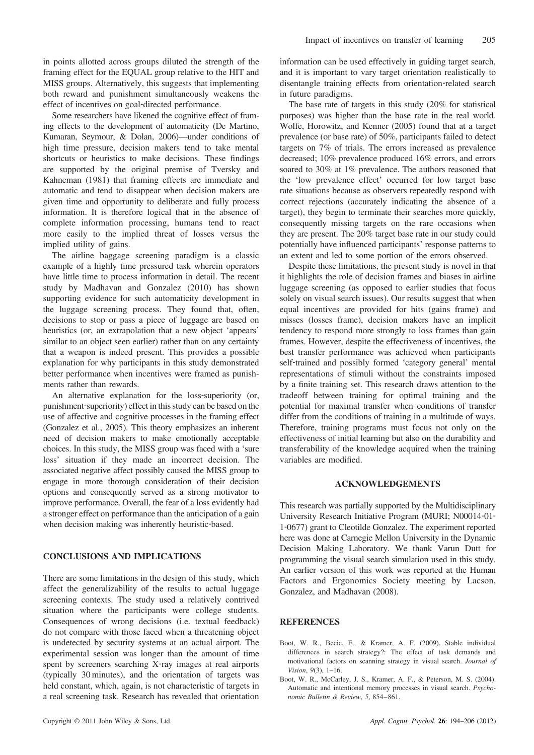in points allotted across groups diluted the strength of the framing effect for the EQUAL group relative to the HIT and MISS groups. Alternatively, this suggests that implementing both reward and punishment simultaneously weakens the effect of incentives on goal‐directed performance.

Some researchers have likened the cognitive effect of framing effects to the development of automaticity (De Martino, Kumaran, Seymour, & Dolan, 2006)—under conditions of high time pressure, decision makers tend to take mental shortcuts or heuristics to make decisions. These findings are supported by the original premise of Tversky and Kahneman (1981) that framing effects are immediate and automatic and tend to disappear when decision makers are given time and opportunity to deliberate and fully process information. It is therefore logical that in the absence of complete information processing, humans tend to react more easily to the implied threat of losses versus the implied utility of gains.

The airline baggage screening paradigm is a classic example of a highly time pressured task wherein operators have little time to process information in detail. The recent study by Madhavan and Gonzalez (2010) has shown supporting evidence for such automaticity development in the luggage screening process. They found that, often, decisions to stop or pass a piece of luggage are based on heuristics (or, an extrapolation that a new object 'appears' similar to an object seen earlier) rather than on any certainty that a weapon is indeed present. This provides a possible explanation for why participants in this study demonstrated better performance when incentives were framed as punishments rather than rewards.

An alternative explanation for the loss-superiority (or, punishment‐superiority) effect in this study can be based on the use of affective and cognitive processes in the framing effect (Gonzalez et al., 2005). This theory emphasizes an inherent need of decision makers to make emotionally acceptable choices. In this study, the MISS group was faced with a 'sure loss' situation if they made an incorrect decision. The associated negative affect possibly caused the MISS group to engage in more thorough consideration of their decision options and consequently served as a strong motivator to improve performance. Overall, the fear of a loss evidently had a stronger effect on performance than the anticipation of a gain when decision making was inherently heuristic-based.

## CONCLUSIONS AND IMPLICATIONS

There are some limitations in the design of this study, which affect the generalizability of the results to actual luggage screening contexts. The study used a relatively contrived situation where the participants were college students. Consequences of wrong decisions (i.e. textual feedback) do not compare with those faced when a threatening object is undetected by security systems at an actual airport. The experimental session was longer than the amount of time spent by screeners searching X-ray images at real airports (typically 30 minutes), and the orientation of targets was held constant, which, again, is not characteristic of targets in a real screening task. Research has revealed that orientation information can be used effectively in guiding target search, and it is important to vary target orientation realistically to disentangle training effects from orientation‐related search in future paradigms.

The base rate of targets in this study (20% for statistical purposes) was higher than the base rate in the real world. Wolfe, Horowitz, and Kenner (2005) found that at a target prevalence (or base rate) of 50%, participants failed to detect targets on 7% of trials. The errors increased as prevalence decreased; 10% prevalence produced 16% errors, and errors soared to 30% at 1% prevalence. The authors reasoned that the 'low prevalence effect' occurred for low target base rate situations because as observers repeatedly respond with correct rejections (accurately indicating the absence of a target), they begin to terminate their searches more quickly, consequently missing targets on the rare occasions when they are present. The 20% target base rate in our study could potentially have influenced participants' response patterns to an extent and led to some portion of the errors observed.

Despite these limitations, the present study is novel in that it highlights the role of decision frames and biases in airline luggage screening (as opposed to earlier studies that focus solely on visual search issues). Our results suggest that when equal incentives are provided for hits (gains frame) and misses (losses frame), decision makers have an implicit tendency to respond more strongly to loss frames than gain frames. However, despite the effectiveness of incentives, the best transfer performance was achieved when participants self-trained and possibly formed 'category general' mental representations of stimuli without the constraints imposed by a finite training set. This research draws attention to the tradeoff between training for optimal training and the potential for maximal transfer when conditions of transfer differ from the conditions of training in a multitude of ways. Therefore, training programs must focus not only on the effectiveness of initial learning but also on the durability and transferability of the knowledge acquired when the training variables are modified.

#### ACKNOWLEDGEMENTS

This research was partially supported by the Multidisciplinary University Research Initiative Program (MURI; N00014‐01‐ 1‐0677) grant to Cleotilde Gonzalez. The experiment reported here was done at Carnegie Mellon University in the Dynamic Decision Making Laboratory. We thank Varun Dutt for programming the visual search simulation used in this study. An earlier version of this work was reported at the Human Factors and Ergonomics Society meeting by Lacson, Gonzalez, and Madhavan (2008).

## **REFERENCES**

- Boot, W. R., Becic, E., & Kramer, A. F. (2009). Stable individual differences in search strategy?: The effect of task demands and motivational factors on scanning strategy in visual search. Journal of Vision, 9(3), 1–16.
- Boot, W. R., McCarley, J. S., Kramer, A. F., & Peterson, M. S. (2004). Automatic and intentional memory processes in visual search. Psychonomic Bulletin & Review, 5, 854–861.